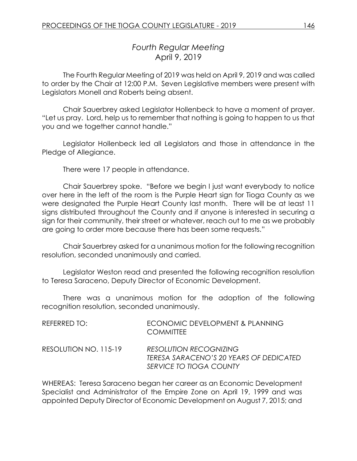# *Fourth Regular Meeting* April 9, 2019

The Fourth Regular Meeting of 2019 was held on April 9, 2019 and was called to order by the Chair at 12:00 P.M. Seven Legislative members were present with Legislators Monell and Roberts being absent.

Chair Sauerbrey asked Legislator Hollenbeck to have a moment of prayer. "Let us pray. Lord, help us to remember that nothing is going to happen to us that you and we together cannot handle."

Legislator Hollenbeck led all Legislators and those in attendance in the Pledge of Allegiance.

There were 17 people in attendance.

Chair Sauerbrey spoke. "Before we begin I just want everybody to notice over here in the left of the room is the Purple Heart sign for Tioga County as we were designated the Purple Heart County last month. There will be at least 11 signs distributed throughout the County and if anyone is interested in securing a sign for their community, their street or whatever, reach out to me as we probably are going to order more because there has been some requests."

Chair Sauerbrey asked for a unanimous motion for the following recognition resolution, seconded unanimously and carried.

Legislator Weston read and presented the following recognition resolution to Teresa Saraceno, Deputy Director of Economic Development.

There was a unanimous motion for the adoption of the following recognition resolution, seconded unanimously.

| REFERRED TO:          | ECONOMIC DEVELOPMENT & PLANNING<br><b>COMMITTEE</b>                                                 |
|-----------------------|-----------------------------------------------------------------------------------------------------|
| RESOLUTION NO. 115-19 | <b>RESOLUTION RECOGNIZING</b><br>TERESA SARACENO'S 20 YEARS OF DEDICATED<br>SERVICE TO TIOGA COUNTY |

WHEREAS: Teresa Saraceno began her career as an Economic Development Specialist and Administrator of the Empire Zone on April 19, 1999 and was appointed Deputy Director of Economic Development on August 7, 2015; and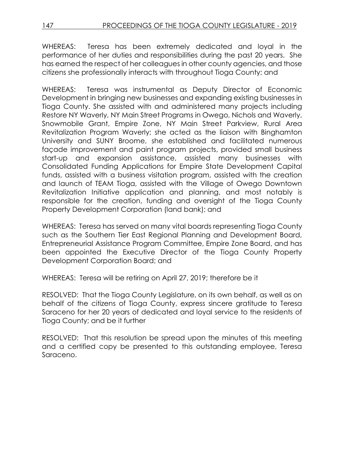WHEREAS: Teresa has been extremely dedicated and loyal in the performance of her duties and responsibilities during the past 20 years. She has earned the respect of her colleagues in other county agencies, and those citizens she professionally interacts with throughout Tioga County; and

WHEREAS: Teresa was instrumental as Deputy Director of Economic Development in bringing new businesses and expanding existing businesses in Tioga County. She assisted with and administered many projects including Restore NY Waverly, NY Main Street Programs in Owego, Nichols and Waverly, Snowmobile Grant, Empire Zone, NY Main Street Parkview, Rural Area Revitalization Program Waverly; she acted as the liaison with Binghamton University and SUNY Broome, she established and facilitated numerous façade improvement and paint program projects, provided small business start-up and expansion assistance, assisted many businesses with Consolidated Funding Applications for Empire State Development Capital funds, assisted with a business visitation program, assisted with the creation and launch of TEAM Tioga, assisted with the Village of Owego Downtown Revitalization Initiative application and planning, and most notably is responsible for the creation, funding and oversight of the Tioga County Property Development Corporation (land bank); and

WHEREAS: Teresa has served on many vital boards representing Tioga County such as the Southern Tier East Regional Planning and Development Board, Entrepreneurial Assistance Program Committee, Empire Zone Board, and has been appointed the Executive Director of the Tioga County Property Development Corporation Board; and

WHEREAS: Teresa will be retiring on April 27, 2019; therefore be it

RESOLVED: That the Tioga County Legislature, on its own behalf, as well as on behalf of the citizens of Tioga County, express sincere gratitude to Teresa Saraceno for her 20 years of dedicated and loyal service to the residents of Tioga County; and be it further

RESOLVED: That this resolution be spread upon the minutes of this meeting and a certified copy be presented to this outstanding employee, Teresa Saraceno.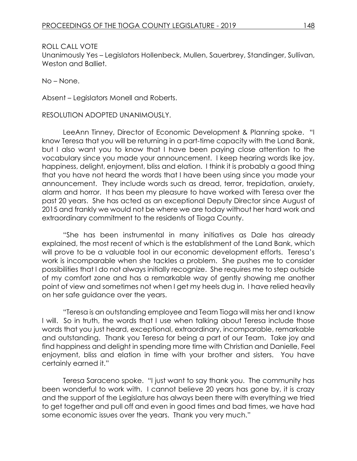#### ROLL CALL VOTE

Unanimously Yes – Legislators Hollenbeck, Mullen, Sauerbrey, Standinger, Sullivan, Weston and Balliet.

No – None.

Absent – Legislators Monell and Roberts.

RESOLUTION ADOPTED UNANIMOUSLY.

LeeAnn Tinney, Director of Economic Development & Planning spoke. "I know Teresa that you will be returning in a part-time capacity with the Land Bank, but I also want you to know that I have been paying close attention to the vocabulary since you made your announcement. I keep hearing words like joy, happiness, delight, enjoyment, bliss and elation. I think it is probably a good thing that you have not heard the words that I have been using since you made your announcement. They include words such as dread, terror, trepidation, anxiety, alarm and horror. It has been my pleasure to have worked with Teresa over the past 20 years. She has acted as an exceptional Deputy Director since August of 2015 and frankly we would not be where we are today without her hard work and extraordinary commitment to the residents of Tioga County.

"She has been instrumental in many initiatives as Dale has already explained, the most recent of which is the establishment of the Land Bank, which will prove to be a valuable tool in our economic development efforts. Teresa's work is incomparable when she tackles a problem. She pushes me to consider possibilities that I do not always initially recognize. She requires me to step outside of my comfort zone and has a remarkable way of gently showing me another point of view and sometimes not when I get my heels dug in. I have relied heavily on her safe guidance over the years.

"Teresa is an outstanding employee and Team Tioga will miss her and I know I will. So in truth, the words that I use when talking about Teresa include those words that you just heard, exceptional, extraordinary, incomparable, remarkable and outstanding. Thank you Teresa for being a part of our Team. Take joy and find happiness and delight in spending more time with Christian and Danielle, Feel enjoyment, bliss and elation in time with your brother and sisters. You have certainly earned it."

Teresa Saraceno spoke. "I just want to say thank you. The community has been wonderful to work with. I cannot believe 20 years has gone by, it is crazy and the support of the Legislature has always been there with everything we tried to get together and pull off and even in good times and bad times, we have had some economic issues over the years. Thank you very much."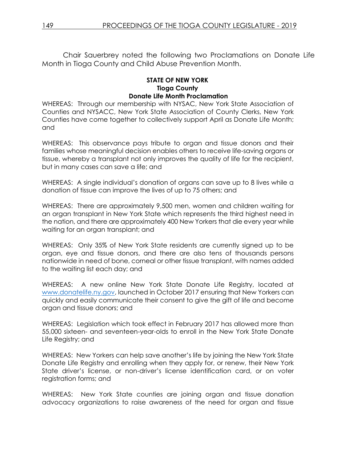Chair Sauerbrey noted the following two Proclamations on Donate Life Month in Tioga County and Child Abuse Prevention Month.

#### **STATE OF NEW YORK Tioga County Donate Life Month Proclamation**

WHEREAS: Through our membership with NYSAC, New York State Association of Counties and NYSACC, New York State Association of County Clerks, New York Counties have come together to collectively support April as Donate Life Month; and

WHEREAS: This observance pays tribute to organ and tissue donors and their families whose meaningful decision enables others to receive life-saving organs or tissue, whereby a transplant not only improves the quality of life for the recipient, but in many cases can save a life; and

WHEREAS: A single individual's donation of organs can save up to 8 lives while a donation of tissue can improve the lives of up to 75 others; and

WHEREAS: There are approximately 9,500 men, women and children waiting for an organ transplant in New York State which represents the third highest need in the nation, and there are approximately 400 New Yorkers that die every year while waiting for an organ transplant; and

WHEREAS: Only 35% of New York State residents are currently signed up to be organ, eye and tissue donors, and there are also tens of thousands persons nationwide in need of bone, corneal or other tissue transplant, with names added to the waiting list each day; and

WHEREAS: A new online New York State Donate Life Registry, located at [www.donatelife.ny.gov,](http://www.donatelife.ny.gov/) launched in October 2017 ensuring that New Yorkers can quickly and easily communicate their consent to give the gift of life and become organ and tissue donors; and

WHEREAS: Legislation which took effect in February 2017 has allowed more than 55,000 sixteen- and seventeen-year-olds to enroll in the New York State Donate Life Registry; and

WHEREAS: New Yorkers can help save another's life by joining the New York State Donate Life Registry and enrolling when they apply for, or renew, their New York State driver's license, or non-driver's license identification card, or on voter registration forms; and

WHEREAS: New York State counties are joining organ and tissue donation advocacy organizations to raise awareness of the need for organ and tissue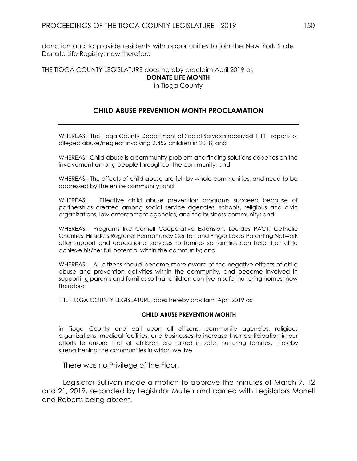donation and to provide residents with opportunities to join the New York State Donate Life Registry; now therefore

THE TIOGA COUNTY LEGISLATURE does hereby proclaim April 2019 as **DONATE LIFE MONTH**

in Tioga County

# **CHILD ABUSE PREVENTION MONTH PROCLAMATION**

WHEREAS: The Tioga County Department of Social Services received 1,111 reports of alleged abuse/neglect involving 2,452 children in 2018; and

WHEREAS: Child abuse is a community problem and finding solutions depends on the involvement among people throughout the community; and

WHEREAS: The effects of child abuse are felt by whole communities, and need to be addressed by the entire community; and

WHEREAS: Effective child abuse prevention programs succeed because of partnerships created among social service agencies, schools, religious and civic organizations, law enforcement agencies, and the business community; and

WHEREAS: Programs like Cornell Cooperative Extension, Lourdes PACT, Catholic Charities, Hillside's Regional Permanency Center, and Finger Lakes Parenting Network offer support and educational services to families so families can help their child achieve his/her full potential within the community; and

WHEREAS: All citizens should become more aware of the negative effects of child abuse and prevention activities within the community, and become involved in supporting parents and families so that children can live in safe, nurturing homes; now therefore

THE TIOGA COUNTY LEGISLATURE, does hereby proclaim April 2019 as

#### **CHILD ABUSE PREVENTION MONTH**

in Tioga County and call upon all citizens, community agencies, religious organizations, medical facilities, and businesses to increase their participation in our efforts to ensure that all children are raised in safe, nurturing families, thereby strengthening the communities in which we live.

There was no Privilege of the Floor.

Legislator Sullivan made a motion to approve the minutes of March 7, 12 and 21, 2019, seconded by Legislator Mullen and carried with Legislators Monell and Roberts being absent.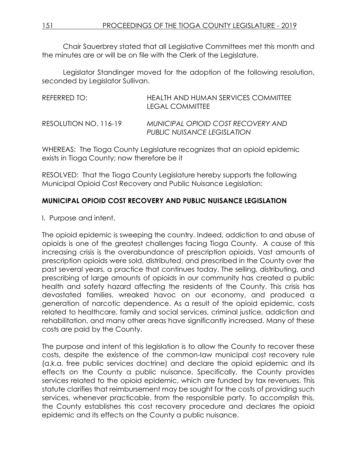Chair Sauerbrey stated that all Legislative Committees met this month and the minutes are or will be on file with the Clerk of the Legislature.

Legislator Standinger moved for the adoption of the following resolution, seconded by Legislator Sullivan.

| REFERRED TO:          | HEALTH AND HUMAN SERVICES COMMITTEE<br><b>LEGAL COMMITTEE</b>     |
|-----------------------|-------------------------------------------------------------------|
| RESOLUTION NO. 116-19 | MUNICIPAL OPIOID COST RECOVERY AND<br>PUBLIC NUISANCE LEGISLATION |

WHEREAS: The Tioga County Legislature recognizes that an opioid epidemic exists in Tioga County; now therefore be it

RESOLVED: That the Tioga County Legislature hereby supports the following Municipal Opioid Cost Recovery and Public Nuisance Legislation:

# **MUNICIPAL OPIOID COST RECOVERY AND PUBLIC NUISANCE LEGISLATION**

I. Purpose and intent.

The opioid epidemic is sweeping the country. Indeed, addiction to and abuse of opioids is one of the greatest challenges facing Tioga County. A cause of this increasing crisis is the overabundance of prescription opioids. Vast amounts of prescription opioids were sold, distributed, and prescribed in the County over the past several years, a practice that continues today. The selling, distributing, and prescribing of large amounts of opioids in our community has created a public health and safety hazard affecting the residents of the County. This crisis has devastated families, wreaked havoc on our economy, and produced a generation of narcotic dependence. As a result of the opioid epidemic, costs related to healthcare, family and social services, criminal justice, addiction and rehabilitation, and many other areas have significantly increased. Many of these costs are paid by the County.

The purpose and intent of this legislation is to allow the County to recover these costs, despite the existence of the common-law municipal cost recovery rule (a.k.a. free public services doctrine) and declare the opioid epidemic and its effects on the County a public nuisance. Specifically, the County provides services related to the opioid epidemic, which are funded by tax revenues. This statute clarifies that reimbursement may be sought for the costs of providing such services, whenever practicable, from the responsible party. To accomplish this, the County establishes this cost recovery procedure and declares the opioid epidemic and its effects on the County a public nuisance.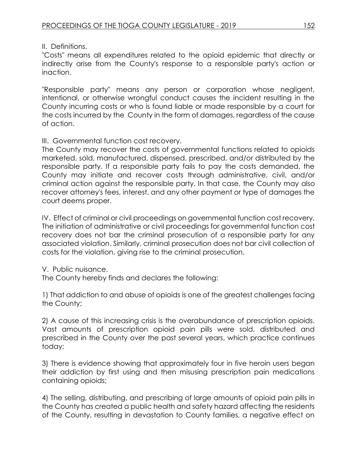II. Definitions.

"Costs" means all expenditures related to the opioid epidemic that directly or indirectly arise from the County's response to a responsible party's action or inaction.

"Responsible party" means any person or corporation whose negligent, intentional, or otherwise wrongful conduct causes the incident resulting in the County incurring costs or who is found liable or made responsible by a court for the costs incurred by the County in the form of damages, regardless of the cause of action.

# III. Governmental function cost recovery.

The County may recover the costs of governmental functions related to opioids marketed, sold, manufactured, dispensed, prescribed, and/or distributed by the responsible party. If a responsible party fails to pay the costs demanded, the County may initiate and recover costs through administrative, civil, and/or criminal action against the responsible party. In that case, the County may also recover attorney's fees, interest, and any other payment or type of damages the court deems proper.

IV. Effect of criminal or civil proceedings on governmental function cost recovery. The initiation of administrative or civil proceedings for governmental function cost recovery does not bar the criminal prosecution of a responsible party for any associated violation. Similarly, criminal prosecution does not bar civil collection of costs for the violation, giving rise to the criminal prosecution.

# V. Public nuisance.

The County hereby finds and declares the following:

1) That addiction to and abuse of opioids is one of the greatest challenges facing the County;

2) A cause of this increasing crisis is the overabundance of prescription opioids. Vast amounts of prescription opioid pain pills were sold, distributed and prescribed in the County over the past several years, which practice continues today;

3) There is evidence showing that approximately four in five heroin users began their addiction by first using and then misusing prescription pain medications containing opioids;

4) The selling, distributing, and prescribing of large amounts of opioid pain pills in the County has created a public health and safety hazard affecting the residents of the County, resulting in devastation to County families, a negative effect on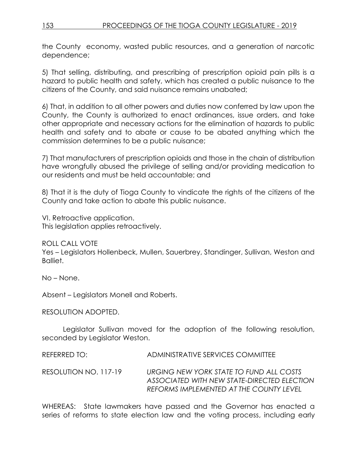the County economy, wasted public resources, and a generation of narcotic dependence;

5) That selling, distributing, and prescribing of prescription opioid pain pills is a hazard to public health and safety, which has created a public nuisance to the citizens of the County, and said nuisance remains unabated;

6) That, in addition to all other powers and duties now conferred by law upon the County, the County is authorized to enact ordinances, issue orders, and take other appropriate and necessary actions for the elimination of hazards to public health and safety and to abate or cause to be abated anything which the commission determines to be a public nuisance;

7) That manufacturers of prescription opioids and those in the chain of distribution have wrongfully abused the privilege of selling and/or providing medication to our residents and must be held accountable; and

8) That it is the duty of Tioga County to vindicate the rights of the citizens of the County and take action to abate this public nuisance.

VI. Retroactive application. This legislation applies retroactively.

ROLL CALL VOTE

Yes – Legislators Hollenbeck, Mullen, Sauerbrey, Standinger, Sullivan, Weston and Balliet.

No – None.

Absent – Legislators Monell and Roberts.

RESOLUTION ADOPTED.

Legislator Sullivan moved for the adoption of the following resolution, seconded by Legislator Weston.

REFERRED TO: ADMINISTRATIVE SERVICES COMMITTEE

RESOLUTION NO. 117-19 *URGING NEW YORK STATE TO FUND ALL COSTS ASSOCIATED WITH NEW STATE-DIRECTED ELECTION REFORMS IMPLEMENTED AT THE COUNTY LEVEL*

WHEREAS: State lawmakers have passed and the Governor has enacted a series of reforms to state election law and the voting process, including early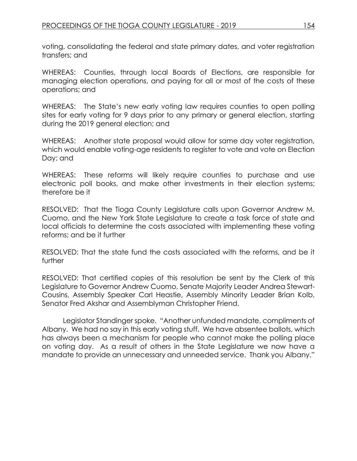voting, consolidating the federal and state primary dates, and voter registration transfers; and

WHEREAS: Counties, through local Boards of Elections, are responsible for managing election operations, and paying for all or most of the costs of these operations; and

WHEREAS: The State's new early voting law requires counties to open polling sites for early voting for 9 days prior to any primary or general election, starting during the 2019 general election; and

WHEREAS: Another state proposal would allow for same day voter registration, which would enable voting-age residents to register to vote and vote on Election Day; and

WHEREAS: These reforms will likely require counties to purchase and use electronic poll books, and make other investments in their election systems; therefore be it

RESOLVED: That the Tioga County Legislature calls upon Governor Andrew M. Cuomo, and the New York State Legislature to create a task force of state and local officials to determine the costs associated with implementing these voting reforms; and be it further

RESOLVED: That the state fund the costs associated with the reforms, and be it further

RESOLVED: That certified copies of this resolution be sent by the Clerk of this Legislature to Governor Andrew Cuomo, Senate Majority Leader Andrea Stewart-Cousins, Assembly Speaker Carl Heastie, Assembly Minority Leader Brian Kolb, Senator Fred Akshar and Assemblyman Christopher Friend.

Legislator Standinger spoke. "Another unfunded mandate, compliments of Albany. We had no say in this early voting stuff. We have absentee ballots, which has always been a mechanism for people who cannot make the polling place on voting day. As a result of others in the State Legislature we now have a mandate to provide an unnecessary and unneeded service. Thank you Albany."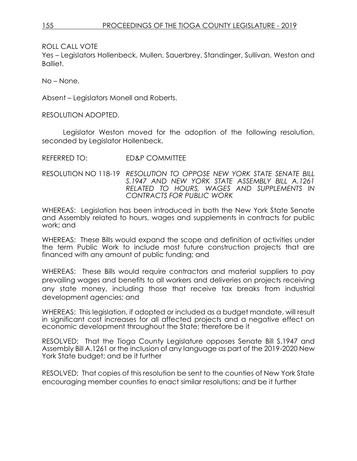ROLL CALL VOTE

Yes – Legislators Hollenbeck, Mullen, Sauerbrey, Standinger, Sullivan, Weston and Balliet.

No – None.

Absent – Legislators Monell and Roberts.

RESOLUTION ADOPTED.

Legislator Weston moved for the adoption of the following resolution, seconded by Legislator Hollenbeck.

REFERRED TO: ED&P COMMITTEE

RESOLUTION NO 118-19 *RESOLUTION TO OPPOSE NEW YORK STATE SENATE BILL S.1947 AND NEW YORK STATE ASSEMBLY BILL A.1261 RELATED TO HOURS, WAGES AND SUPPLEMENTS IN CONTRACTS FOR PUBLIC WORK*

WHEREAS: Legislation has been introduced in both the New York State Senate and Assembly related to hours, wages and supplements in contracts for public work; and

WHEREAS: These Bills would expand the scope and definition of activities under the term Public Work to include most future construction projects that are financed with any amount of public funding; and

WHEREAS: These Bills would require contractors and material suppliers to pay prevailing wages and benefits to all workers and deliveries on projects receiving any state money, including those that receive tax breaks from industrial development agencies; and

WHEREAS: This legislation, if adopted or included as a budget mandate, will result in significant cost increases for all affected projects and a negative effect on economic development throughout the State; therefore be it

RESOLVED: That the Tioga County Legislature opposes Senate Bill S.1947 and Assembly Bill A.1261 or the inclusion of any language as part of the 2019-2020 New York State budget; and be it further

RESOLVED: That copies of this resolution be sent to the counties of New York State encouraging member counties to enact similar resolutions; and be it further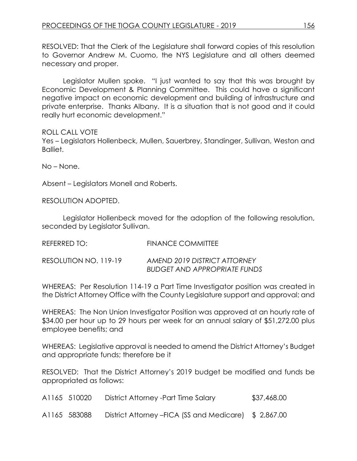RESOLVED: That the Clerk of the Legislature shall forward copies of this resolution to Governor Andrew M. Cuomo, the NYS Legislature and all others deemed necessary and proper.

Legislator Mullen spoke. "I just wanted to say that this was brought by Economic Development & Planning Committee. This could have a significant negative impact on economic development and building of infrastructure and private enterprise. Thanks Albany. It is a situation that is not good and it could really hurt economic development."

ROLL CALL VOTE

Yes – Legislators Hollenbeck, Mullen, Sauerbrey, Standinger, Sullivan, Weston and Balliet.

No – None.

Absent – Legislators Monell and Roberts.

RESOLUTION ADOPTED.

Legislator Hollenbeck moved for the adoption of the following resolution, seconded by Legislator Sullivan.

| REFERRED TO:          | <b>FINANCE COMMITTEE</b>                                            |
|-----------------------|---------------------------------------------------------------------|
| RESOLUTION NO. 119-19 | AMEND 2019 DISTRICT ATTORNEY<br><b>BUDGET AND APPROPRIATE FUNDS</b> |

WHEREAS: Per Resolution 114-19 a Part Time Investigator position was created in the District Attorney Office with the County Legislature support and approval; and

WHEREAS: The Non Union Investigator Position was approved at an hourly rate of \$34.00 per hour up to 29 hours per week for an annual salary of \$51,272.00 plus employee benefits; and

WHEREAS: Legislative approval is needed to amend the District Attorney's Budget and appropriate funds; therefore be it

RESOLVED: That the District Attorney's 2019 budget be modified and funds be appropriated as follows:

| A1165 510020 | District Attorney - Part Time Salary                  | \$37,468.00 |
|--------------|-------------------------------------------------------|-------------|
| A1165 583088 | District Attorney – FICA (SS and Medicare) \$2,867.00 |             |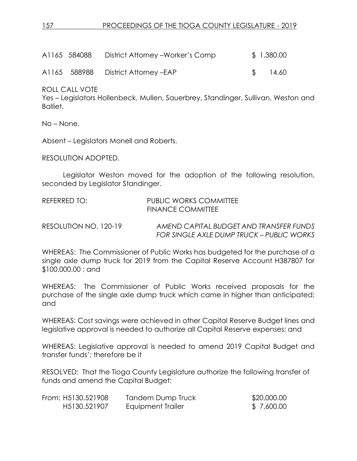| A1165 584088 | District Attorney – Worker's Comp    | \$1,380.00 |
|--------------|--------------------------------------|------------|
|              | A1165 588988 District Attorney - EAP | 14.60      |

ROLL CALL VOTE

Yes – Legislators Hollenbeck, Mullen, Sauerbrey, Standinger, Sullivan, Weston and Balliet.

No – None.

Absent – Legislators Monell and Roberts.

RESOLUTION ADOPTED.

Legislator Weston moved for the adoption of the following resolution, seconded by Legislator Standinger.

| REFERRED TO:          | PUBLIC WORKS COMMITTEE<br>FINANCE COMMITTEE                                          |
|-----------------------|--------------------------------------------------------------------------------------|
| RESOLUTION NO. 120-19 | AMEND CAPITAL BUDGET AND TRANSFER FUNDS<br>FOR SINGLE AXLE DUMP TRUCK – PUBLIC WORKS |

WHEREAS: The Commissioner of Public Works has budgeted for the purchase of a single axle dump truck for 2019 from the Capital Reserve Account H387807 for \$100,000.00 ; and

WHEREAS: The Commissioner of Public Works received proposals for the purchase of the single axle dump truck which came in higher than anticipated; and

WHEREAS: Cost savings were achieved in other Capital Reserve Budget lines and legislative approval is needed to authorize all Capital Reserve expenses; and

WHEREAS: Legislative approval is needed to amend 2019 Capital Budget and transfer funds'; therefore be it

RESOLVED: That the Tioga County Legislature authorize the following transfer of funds and amend the Capital Budget:

| From: H5130.521908 | <b>Tandem Dump Truck</b> | \$20,000.00 |
|--------------------|--------------------------|-------------|
| H5130.521907       | Equipment Trailer        | \$7,600.00  |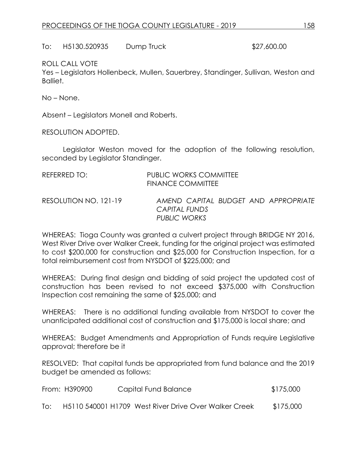To: H5130.520935 Dump Truck \$27,600.00

### ROLL CALL VOTE

Yes – Legislators Hollenbeck, Mullen, Sauerbrey, Standinger, Sullivan, Weston and Balliet.

No – None.

Absent – Legislators Monell and Roberts.

RESOLUTION ADOPTED.

Legislator Weston moved for the adoption of the following resolution, seconded by Legislator Standinger.

| REFERRED TO:          | PUBLIC WORKS COMMITTEE<br><b>FINANCE COMMITTEE</b>                           |
|-----------------------|------------------------------------------------------------------------------|
| RESOLUTION NO. 121-19 | AMEND CAPITAL BUDGET AND APPROPRIATE<br>CAPITAL FUNDS<br><b>PUBLIC WORKS</b> |

WHEREAS: Tioga County was granted a culvert project through BRIDGE NY 2016, West River Drive over Walker Creek, funding for the original project was estimated to cost \$200,000 for construction and \$25,000 for Construction Inspection, for a total reimbursement cost from NYSDOT of \$225,000; and

WHEREAS: During final design and bidding of said project the updated cost of construction has been revised to not exceed \$375,000 with Construction Inspection cost remaining the same of \$25,000; and

WHEREAS: There is no additional funding available from NYSDOT to cover the unanticipated additional cost of construction and \$175,000 is local share; and

WHEREAS: Budget Amendments and Appropriation of Funds require Legislative approval; therefore be it

RESOLVED: That capital funds be appropriated from fund balance and the 2019 budget be amended as follows:

|     | From: H390900 | Capital Fund Balance                                  | \$175,000 |
|-----|---------------|-------------------------------------------------------|-----------|
| To: |               | H5110 540001 H1709 West River Drive Over Walker Creek | \$175,000 |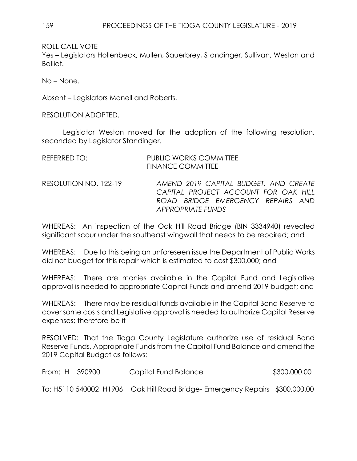ROLL CALL VOTE

Yes – Legislators Hollenbeck, Mullen, Sauerbrey, Standinger, Sullivan, Weston and Balliet.

No – None.

Absent – Legislators Monell and Roberts.

RESOLUTION ADOPTED.

Legislator Weston moved for the adoption of the following resolution, seconded by Legislator Standinger.

| REFERRED TO:          | <b>PUBLIC WORKS COMMITTEE</b><br><b>FINANCE COMMITTEE</b>                                                                                      |
|-----------------------|------------------------------------------------------------------------------------------------------------------------------------------------|
| RESOLUTION NO. 122-19 | AMEND 2019 CAPITAL BUDGET, AND CREATE<br>CAPITAL PROJECT ACCOUNT FOR OAK HILL<br>ROAD BRIDGE EMERGENCY REPAIRS AND<br><b>APPROPRIATE FUNDS</b> |

WHEREAS: An inspection of the Oak Hill Road Bridge (BIN 3334940) revealed significant scour under the southeast wingwall that needs to be repaired; and

WHEREAS: Due to this being an unforeseen issue the Department of Public Works did not budget for this repair which is estimated to cost \$300,000; and

WHEREAS: There are monies available in the Capital Fund and Legislative approval is needed to appropriate Capital Funds and amend 2019 budget; and

WHEREAS: There may be residual funds available in the Capital Bond Reserve to cover some costs and Legislative approval is needed to authorize Capital Reserve expenses; therefore be it

RESOLVED: That the Tioga County Legislature authorize use of residual Bond Reserve Funds, Appropriate Funds from the Capital Fund Balance and amend the 2019 Capital Budget as follows:

| From: H 390900 | Capital Fund Balance                                                        | \$300,000.00 |
|----------------|-----------------------------------------------------------------------------|--------------|
|                | To: H5110 540002 H1906 Oak Hill Road Bridge- Emergency Repairs \$300,000.00 |              |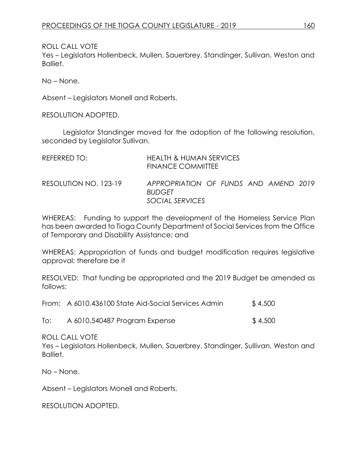ROLL CALL VOTE

Yes – Legislators Hollenbeck, Mullen, Sauerbrey, Standinger, Sullivan, Weston and Balliet.

No – None.

Absent – Legislators Monell and Roberts.

RESOLUTION ADOPTED.

Legislator Standinger moved for the adoption of the following resolution, seconded by Legislator Sullivan.

| REFERRED TO:          | HEALTH & HUMAN SERVICES<br><b>FINANCE COMMITTEE</b>                       |
|-----------------------|---------------------------------------------------------------------------|
| RESOLUTION NO. 123-19 | APPROPRIATION OF FUNDS AND AMEND 2019<br><b>BUDGET</b><br>SOCIAL SERVICES |

WHEREAS: Funding to support the development of the Homeless Service Plan has been awarded to Tioga County Department of Social Services from the Office of Temporary and Disability Assistance; and

WHEREAS: Appropriation of funds and budget modification requires legislative approval: therefore be it

RESOLVED: That funding be appropriated and the 2019 Budget be amended as follows:

| \$4,500 |
|---------|
|         |

| A 6010.540487 Program Expense<br>To: | \$4,500 |
|--------------------------------------|---------|
|--------------------------------------|---------|

ROLL CALL VOTE

Yes – Legislators Hollenbeck, Mullen, Sauerbrey, Standinger, Sullivan, Weston and Balliet.

No – None.

Absent – Legislators Monell and Roberts.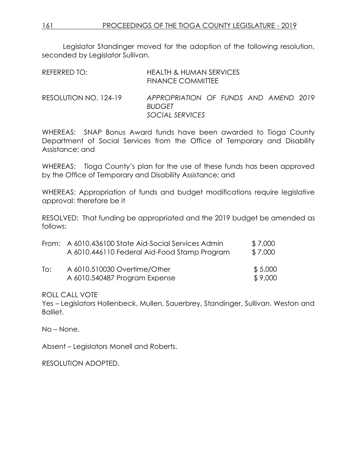Legislator Standinger moved for the adoption of the following resolution, seconded by Legislator Sullivan.

| REFERRED TO:          | HEALTH & HUMAN SERVICES<br>FINANCE COMMITTEE                              |
|-----------------------|---------------------------------------------------------------------------|
| RESOLUTION NO. 124-19 | APPROPRIATION OF FUNDS AND AMEND 2019<br><b>BUDGET</b><br>SOCIAL SERVICES |

WHEREAS: SNAP Bonus Award funds have been awarded to Tioga County Department of Social Services from the Office of Temporary and Disability Assistance; and

WHEREAS: Tioga County's plan for the use of these funds has been approved by the Office of Temporary and Disability Assistance; and

WHEREAS: Appropriation of funds and budget modifications require legislative approval: therefore be it

RESOLVED: That funding be appropriated and the 2019 budget be amended as follows:

|     | From: A 6010.436100 State Aid-Social Services Admin | \$7,000 |
|-----|-----------------------------------------------------|---------|
|     | A 6010.446110 Federal Aid-Food Stamp Program        | \$7,000 |
| To: | A 6010.510030 Overtime/Other                        | \$5,000 |
|     | A 6010.540487 Program Expense                       | \$9,000 |

#### ROLL CALL VOTE

Yes – Legislators Hollenbeck, Mullen, Sauerbrey, Standinger, Sullivan, Weston and Balliet.

No – None.

Absent – Legislators Monell and Roberts.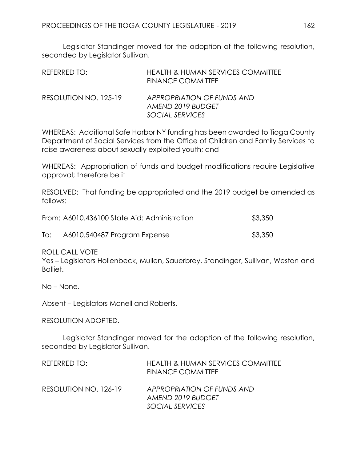Legislator Standinger moved for the adoption of the following resolution, seconded by Legislator Sullivan.

| REFERRED TO:          | <b>HEALTH &amp; HUMAN SERVICES COMMITTEE</b><br><b>FINANCE COMMITTEE</b> |
|-----------------------|--------------------------------------------------------------------------|
| RESOLUTION NO. 125-19 | APPROPRIATION OF FUNDS AND<br>AMEND 2019 BUDGET                          |
|                       | SOCIAL SERVICES                                                          |

WHEREAS: Additional Safe Harbor NY funding has been awarded to Tioga County Department of Social Services from the Office of Children and Family Services to raise awareness about sexually exploited youth; and

WHEREAS: Appropriation of funds and budget modifications require Legislative approval; therefore be it

RESOLVED: That funding be appropriated and the 2019 budget be amended as follows:

|     | From: A6010.436100 State Aid: Administration | \$3,350 |
|-----|----------------------------------------------|---------|
| To: | A6010.540487 Program Expense                 | \$3,350 |

ROLL CALL VOTE

Yes – Legislators Hollenbeck, Mullen, Sauerbrey, Standinger, Sullivan, Weston and Balliet.

No – None.

Absent – Legislators Monell and Roberts.

#### RESOLUTION ADOPTED.

Legislator Standinger moved for the adoption of the following resolution, seconded by Legislator Sullivan.

| REFERRED TO:          | <b>HEALTH &amp; HUMAN SERVICES COMMITTEE</b><br><b>FINANCE COMMITTEE</b> |
|-----------------------|--------------------------------------------------------------------------|
| RESOLUTION NO. 126-19 | APPROPRIATION OF FUNDS AND<br>AMEND 2019 BUDGET                          |
|                       | SOCIAL SERVICES                                                          |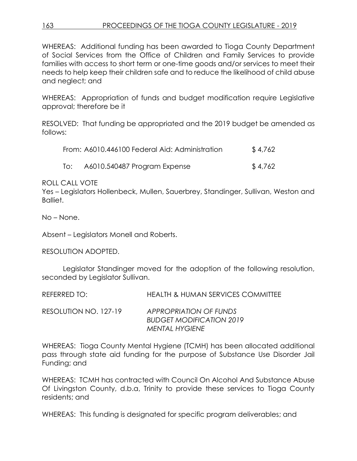WHEREAS: Additional funding has been awarded to Tioga County Department of Social Services from the Office of Children and Family Services to provide families with access to short term or one-time goods and/or services to meet their needs to help keep their children safe and to reduce the likelihood of child abuse and neglect; and

WHEREAS: Appropriation of funds and budget modification require Legislative approval; therefore be it

RESOLVED: That funding be appropriated and the 2019 budget be amended as follows:

| From: A6010.446100 Federal Aid: Administration | \$4,762                      |         |
|------------------------------------------------|------------------------------|---------|
| To:                                            | A6010.540487 Program Expense | \$4,762 |

ROLL CALL VOTE

Yes – Legislators Hollenbeck, Mullen, Sauerbrey, Standinger, Sullivan, Weston and Balliet.

No – None.

Absent – Legislators Monell and Roberts.

RESOLUTION ADOPTED.

Legislator Standinger moved for the adoption of the following resolution, seconded by Legislator Sullivan.

| REFERRED TO:          | HEALTH & HUMAN SERVICES COMMITTEE                                                  |
|-----------------------|------------------------------------------------------------------------------------|
| RESOLUTION NO. 127-19 | APPROPRIATION OF FUNDS<br><b>BUDGET MODIFICATION 2019</b><br><b>MENTAL HYGIENE</b> |

WHEREAS: Tioga County Mental Hygiene (TCMH) has been allocated additional pass through state aid funding for the purpose of Substance Use Disorder Jail Funding; and

WHEREAS: TCMH has contracted with Council On Alcohol And Substance Abuse Of Livingston County, d.b.a, Trinity to provide these services to Tioga County residents; and

WHEREAS: This funding is designated for specific program deliverables; and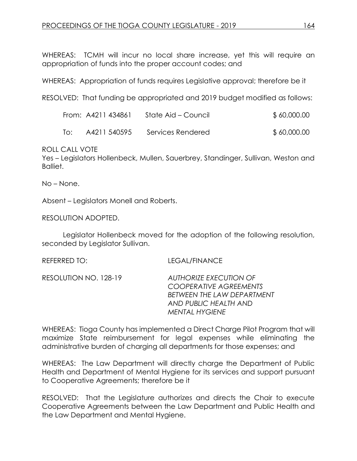WHEREAS: TCMH will incur no local share increase, yet this will require an appropriation of funds into the proper account codes; and

WHEREAS: Appropriation of funds requires Legislative approval; therefore be it

RESOLVED: That funding be appropriated and 2019 budget modified as follows:

|     | From: A4211 434861 | State Aid – Council | \$ 60,000.00 |
|-----|--------------------|---------------------|--------------|
| To: | A4211 540595       | Services Rendered   | \$60,000.00  |

ROLL CALL VOTE

Yes – Legislators Hollenbeck, Mullen, Sauerbrey, Standinger, Sullivan, Weston and Balliet.

No – None.

Absent – Legislators Monell and Roberts.

RESOLUTION ADOPTED.

Legislator Hollenbeck moved for the adoption of the following resolution, seconded by Legislator Sullivan.

REFERRED TO: LEGAL/FINANCE

RESOLUTION NO. 128-19 *AUTHORIZE EXECUTION OF COOPERATIVE AGREEMENTS BETWEEN THE LAW DEPARTMENT AND PUBLIC HEALTH AND MENTAL HYGIENE*

WHEREAS: Tioga County has implemented a Direct Charge Pilot Program that will maximize State reimbursement for legal expenses while eliminating the administrative burden of charging all departments for those expenses; and

WHEREAS: The Law Department will directly charge the Department of Public Health and Department of Mental Hygiene for its services and support pursuant to Cooperative Agreements; therefore be it

RESOLVED: That the Legislature authorizes and directs the Chair to execute Cooperative Agreements between the Law Department and Public Health and the Law Department and Mental Hygiene.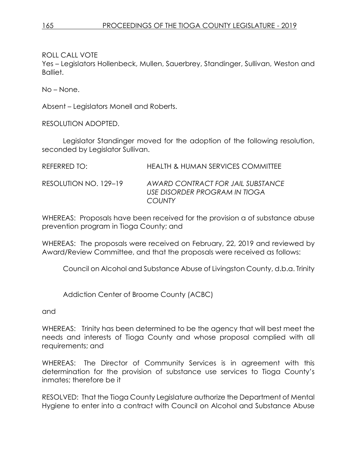ROLL CALL VOTE

Yes – Legislators Hollenbeck, Mullen, Sauerbrey, Standinger, Sullivan, Weston and Balliet.

No – None.

Absent – Legislators Monell and Roberts.

RESOLUTION ADOPTED.

Legislator Standinger moved for the adoption of the following resolution, seconded by Legislator Sullivan.

REFERRED TO: HEALTH & HUMAN SERVICES COMMITTEE

RESOLUTION NO. 129–19 *AWARD CONTRACT FOR JAIL SUBSTANCE USE DISORDER PROGRAM IN TIOGA COUNTY* 

WHEREAS: Proposals have been received for the provision a of substance abuse prevention program in Tioga County; and

WHEREAS: The proposals were received on February, 22, 2019 and reviewed by Award/Review Committee, and that the proposals were received as follows:

Council on Alcohol and Substance Abuse of Livingston County, d.b.a. Trinity

Addiction Center of Broome County (ACBC)

and

WHEREAS: Trinity has been determined to be the agency that will best meet the needs and interests of Tioga County and whose proposal complied with all requirements; and

WHEREAS: The Director of Community Services is in agreement with this determination for the provision of substance use services to Tioga County's inmates; therefore be it

RESOLVED: That the Tioga County Legislature authorize the Department of Mental Hygiene to enter into a contract with Council on Alcohol and Substance Abuse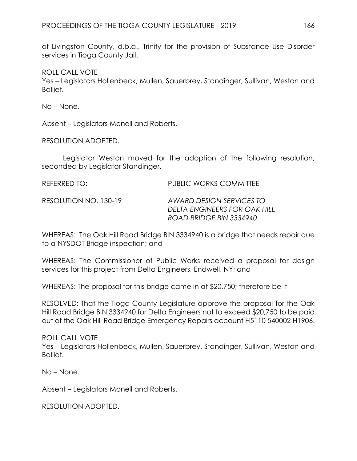of Livingston County, d.b.a., Trinity for the provision of Substance Use Disorder services in Tioga County Jail.

ROLL CALL VOTE

Yes – Legislators Hollenbeck, Mullen, Sauerbrey, Standinger, Sullivan, Weston and Balliet.

No – None.

Absent – Legislators Monell and Roberts.

RESOLUTION ADOPTED.

Legislator Weston moved for the adoption of the following resolution, seconded by Legislator Standinger.

| REFERRED TO: I        | PUBLIC WORKS COMMITTEE                                                              |
|-----------------------|-------------------------------------------------------------------------------------|
| RESOLUTION NO. 130-19 | AWARD DESIGN SERVICES TO<br>DELTA ENGINEERS FOR OAK HILL<br>ROAD BRIDGE BIN 3334940 |

WHEREAS: The Oak Hill Road Bridge BIN 3334940 is a bridge that needs repair due to a NYSDOT Bridge inspection; and

WHEREAS: The Commissioner of Public Works received a proposal for design services for this project from Delta Engineers, Endwell, NY; and

WHEREAS: The proposal for this bridge came in at \$20,750; therefore be it

RESOLVED: That the Tioga County Legislature approve the proposal for the Oak Hill Road Bridge BIN 3334940 for Delta Engineers not to exceed \$20,750 to be paid out of the Oak Hill Road Bridge Emergency Repairs account H5110 540002 H1906.

ROLL CALL VOTE Yes – Legislators Hollenbeck, Mullen, Sauerbrey, Standinger, Sullivan, Weston and Balliet.

No – None.

Absent – Legislators Monell and Roberts.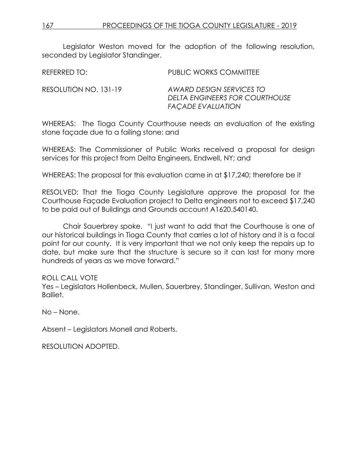| REFERRED TO:          | PUBLIC WORKS COMMITTEE                                                                 |
|-----------------------|----------------------------------------------------------------------------------------|
| RESOLUTION NO. 131-19 | AWARD DESIGN SERVICES TO<br>DELTA ENGINEERS FOR COURTHOUSE<br><b>FAÇADE EVALUATION</b> |

WHEREAS: The Tioga County Courthouse needs an evaluation of the existing stone façade due to a failing stone; and

WHEREAS: The Commissioner of Public Works received a proposal for design services for this project from Delta Engineers, Endwell, NY; and

WHEREAS: The proposal for this evaluation came in at \$17,240; therefore be it

RESOLVED: That the Tioga County Legislature approve the proposal for the Courthouse Façade Evaluation project to Delta engineers not to exceed \$17,240 to be paid out of Buildings and Grounds account A1620.540140.

Chair Sauerbrey spoke. "I just want to add that the Courthouse is one of our historical buildings in Tioga County that carries a lot of history and it is a focal point for our county. It is very important that we not only keep the repairs up to date, but make sure that the structure is secure so it can last for many more hundreds of years as we move forward."

#### ROLL CALL VOTE

Yes – Legislators Hollenbeck, Mullen, Sauerbrey, Standinger, Sullivan, Weston and Balliet.

No – None.

Absent – Legislators Monell and Roberts.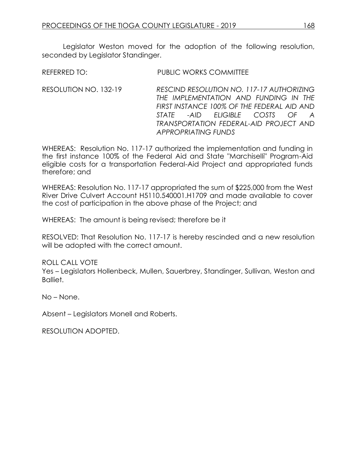RESOLUTION NO. 132-19 *RESCIND RESOLUTION NO. 117-17 AUTHORIZING THE IMPLEMENTATION AND FUNDING IN THE FIRST INSTANCE 100% OF THE FEDERAL AID AND STATE -AID ELIGIBLE COSTS OF A TRANSPORTATION FEDERAL-AID PROJECT AND APPROPRIATING FUNDS*

WHEREAS: Resolution No. 117-17 authorized the implementation and funding in the first instance 100% of the Federal Aid and State "Marchiselli" Program-Aid eligible costs for a transportation Federal-Aid Project and appropriated funds therefore; and

WHEREAS: Resolution No. 117-17 appropriated the sum of \$225,000 from the West River Drive Culvert Account H5110.540001.H1709 and made available to cover the cost of participation in the above phase of the Project; and

WHEREAS: The amount is being revised; therefore be it

RESOLVED: That Resolution No. 117-17 is hereby rescinded and a new resolution will be adopted with the correct amount.

ROLL CALL VOTE

Yes – Legislators Hollenbeck, Mullen, Sauerbrey, Standinger, Sullivan, Weston and Balliet.

No – None.

Absent – Legislators Monell and Roberts.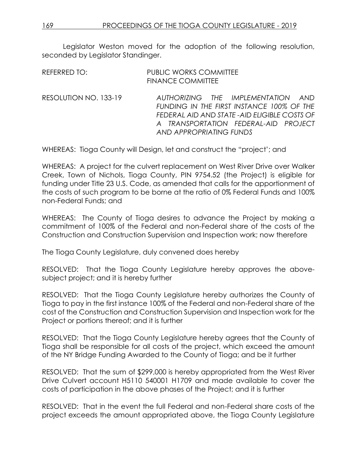| REFERRED TO:          | <b>PUBLIC WORKS COMMITTEE</b><br><b>FINANCE COMMITTEE</b>                                                                                                                                         |
|-----------------------|---------------------------------------------------------------------------------------------------------------------------------------------------------------------------------------------------|
| RESOLUTION NO. 133-19 | AUTHORIZING THE IMPLEMENTATION AND<br>FUNDING IN THE FIRST INSTANCE 100% OF THE<br>FEDERAL AID AND STATE-AID ELIGIBLE COSTS OF<br>A TRANSPORTATION FEDERAL-AID PROJECT<br>AND APPROPRIATING FUNDS |

WHEREAS: Tioga County will Design, let and construct the "project'; and

WHEREAS: A project for the culvert replacement on West River Drive over Walker Creek, Town of Nichols, Tioga County, PIN 9754.52 (the Project) is eligible for funding under Title 23 U.S. Code, as amended that calls for the apportionment of the costs of such program to be borne at the ratio of 0% Federal Funds and 100% non-Federal Funds; and

WHEREAS: The County of Tioga desires to advance the Project by making a commitment of 100% of the Federal and non-Federal share of the costs of the Construction and Construction Supervision and Inspection work; now therefore

The Tioga County Legislature, duly convened does hereby

RESOLVED: That the Tioga County Legislature hereby approves the abovesubject project; and it is hereby further

RESOLVED: That the Tioga County Legislature hereby authorizes the County of Tioga to pay in the first instance 100% of the Federal and non-Federal share of the cost of the Construction and Construction Supervision and Inspection work for the Project or portions thereof; and it is further

RESOLVED: That the Tioga County Legislature hereby agrees that the County of Tioga shall be responsible for all costs of the project, which exceed the amount of the NY Bridge Funding Awarded to the County of Tioga; and be it further

RESOLVED: That the sum of \$299,000 is hereby appropriated from the West River Drive Culvert account H5110 540001 H1709 and made available to cover the costs of participation in the above phases of the Project; and it is further

RESOLVED: That in the event the full Federal and non-Federal share costs of the project exceeds the amount appropriated above, the Tioga County Legislature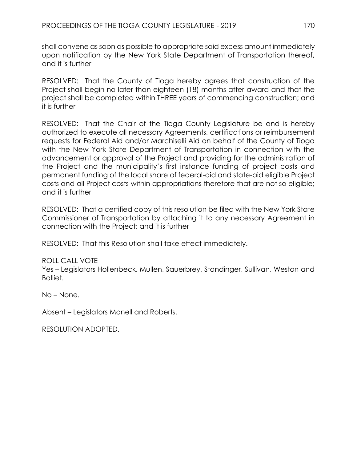shall convene as soon as possible to appropriate said excess amount immediately upon notification by the New York State Department of Transportation thereof, and it is further

RESOLVED: That the County of Tioga hereby agrees that construction of the Project shall begin no later than eighteen (18) months after award and that the project shall be completed within THREE years of commencing construction; and it is further

RESOLVED: That the Chair of the Tioga County Legislature be and is hereby authorized to execute all necessary Agreements, certifications or reimbursement requests for Federal Aid and/or Marchiselli Aid on behalf of the County of Tioga with the New York State Department of Transportation in connection with the advancement or approval of the Project and providing for the administration of the Project and the municipality's first instance funding of project costs and permanent funding of the local share of federal-aid and state-aid eligible Project costs and all Project costs within appropriations therefore that are not so eligible; and it is further

RESOLVED: That a certified copy of this resolution be filed with the New York State Commissioner of Transportation by attaching it to any necessary Agreement in connection with the Project; and it is further

RESOLVED: That this Resolution shall take effect immediately.

# ROLL CALL VOTE

Yes – Legislators Hollenbeck, Mullen, Sauerbrey, Standinger, Sullivan, Weston and Balliet.

No – None.

Absent – Legislators Monell and Roberts.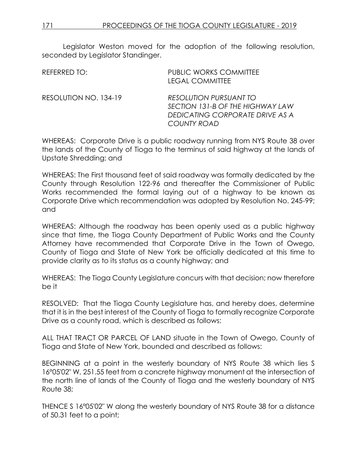| REFERRED TO:          | <b>PUBLIC WORKS COMMITTEE</b><br><b>LEGAL COMMITTEE</b>                                                             |
|-----------------------|---------------------------------------------------------------------------------------------------------------------|
| RESOLUTION NO. 134-19 | RESOLUTION PURSUANT TO<br>SECTION 131-B OF THE HIGHWAY LAW<br>DEDICATING CORPORATE DRIVE AS A<br><b>COUNTY ROAD</b> |

WHEREAS: Corporate Drive is a public roadway running from NYS Route 38 over the lands of the County of Tioga to the terminus of said highway at the lands of Upstate Shredding; and

WHEREAS: The First thousand feet of said roadway was formally dedicated by the County through Resolution 122-96 and thereafter the Commissioner of Public Works recommended the formal laying out of a highway to be known as Corporate Drive which recommendation was adopted by Resolution No. 245-99; and

WHEREAS: Although the roadway has been openly used as a public highway since that time, the Tioga County Department of Public Works and the County Attorney have recommended that Corporate Drive in the Town of Owego, County of Tioga and State of New York be officially dedicated at this time to provide clarity as to its status as a county highway; and

WHEREAS: The Tioga County Legislature concurs with that decision; now therefore be it

RESOLVED: That the Tioga County Legislature has, and hereby does, determine that it is in the best interest of the County of Tioga to formally recognize Corporate Drive as a county road, which is described as follows:

ALL THAT TRACT OR PARCEL OF LAND situate in the Town of Owego, County of Tioga and State of New York, bounded and described as follows:

BEGINNING at a point in the westerly boundary of NYS Route 38 which lies S 16°05'02" W, 251.55 feet from a concrete highway monument at the intersection of the north line of lands of the County of Tioga and the westerly boundary of NYS Route 38;

THENCE S 16°05'02" W along the westerly boundary of NYS Route 38 for a distance of 50.31 feet to a point;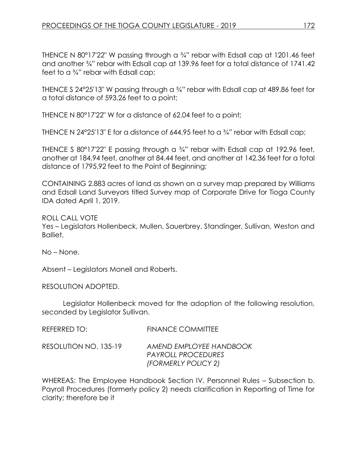THENCE N 80°17'22" W passing through a ¾" rebar with Edsall cap at 1201.46 feet and another ¾" rebar with Edsall cap at 139.96 feet for a total distance of 1741.42 feet to a ¾" rebar with Edsall cap;

THENCE S 24°25'13" W passing through a ¾" rebar with Edsall cap at 489.86 feet for a total distance of 593.26 feet to a point;

THENCE N 80°17'22" W for a distance of 62.04 feet to a point;

THENCE N 24°25'13" E for a distance of 644.95 feet to a ¾" rebar with Edsall cap;

THENCE S 80°17'22" E passing through a 3/4" rebar with Edsall cap at 192.96 feet, another at 184.94 feet, another at 84.44 feet, and another at 142.36 feet for a total distance of 1795.92 feet to the Point of Beginning;

CONTAINING 2.883 acres of land as shown on a survey map prepared by Williams and Edsall Land Surveyors titled Survey map of Corporate Drive for Tioga County IDA dated April 1, 2019.

ROLL CALL VOTE Yes – Legislators Hollenbeck, Mullen, Sauerbrey, Standinger, Sullivan, Weston and Balliet.

No – None.

Absent – Legislators Monell and Roberts.

RESOLUTION ADOPTED.

Legislator Hollenbeck moved for the adoption of the following resolution, seconded by Legislator Sullivan.

| REFERRED TO:          | <b>FINANCE COMMITTEE</b>                                             |
|-----------------------|----------------------------------------------------------------------|
| RESOLUTION NO. 135-19 | AMEND EMPLOYEE HANDBOOK<br>PAYROLL PROCEDURES<br>(FORMERLY POLICY 2) |

WHEREAS: The Employee Handbook Section IV. Personnel Rules – Subsection b. Payroll Procedures (formerly policy 2) needs clarification in Reporting of Time for clarity; therefore be it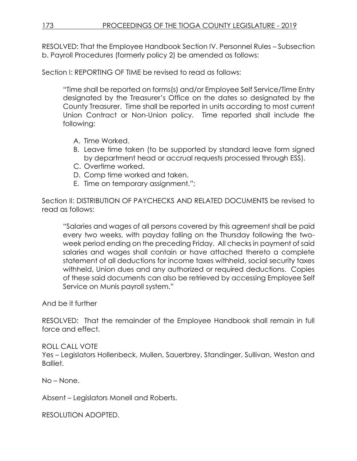RESOLVED: That the Employee Handbook Section IV. Personnel Rules – Subsection b. Payroll Procedures (formerly policy 2) be amended as follows:

Section I: REPORTING OF TIME be revised to read as follows:

"Time shall be reported on forms(s) and/or Employee Self Service/Time Entry designated by the Treasurer's Office on the dates so designated by the County Treasurer. Time shall be reported in units according to most current Union Contract or Non-Union policy. Time reported shall include the following:

- A. Time Worked.
- B. Leave time taken (to be supported by standard leave form signed by department head or accrual requests processed through ESS).
- C. Overtime worked.
- D. Comp time worked and taken.
- E. Time on temporary assignment.";

Section II: DISTRIBUTION OF PAYCHECKS AND RELATED DOCUMENTS be revised to read as follows:

"Salaries and wages of all persons covered by this agreement shall be paid every two weeks, with payday falling on the Thursday following the twoweek period ending on the preceding Friday. All checks in payment of said salaries and wages shall contain or have attached thereto a complete statement of all deductions for income taxes withheld, social security taxes withheld, Union dues and any authorized or required deductions. Copies of these said documents can also be retrieved by accessing Employee Self Service on Munis payroll system."

And be it further

RESOLVED: That the remainder of the Employee Handbook shall remain in full force and effect.

ROLL CALL VOTE

Yes – Legislators Hollenbeck, Mullen, Sauerbrey, Standinger, Sullivan, Weston and Balliet.

No – None.

Absent – Legislators Monell and Roberts.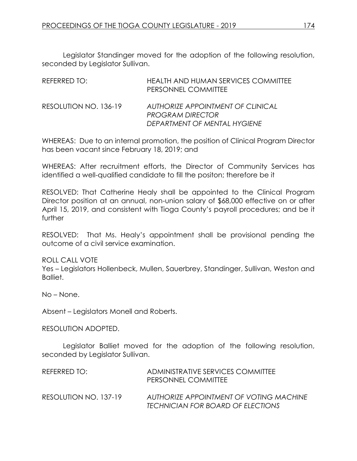Legislator Standinger moved for the adoption of the following resolution, seconded by Legislator Sullivan.

| REFERRED TO:          | <b>HEALTH AND HUMAN SERVICES COMMITTEE</b><br>PERSONNEL COMMITTEE                                   |
|-----------------------|-----------------------------------------------------------------------------------------------------|
| RESOLUTION NO. 136-19 | <b>AUTHORIZE APPOINTMENT OF CLINICAL</b><br><b>PROGRAM DIRECTOR</b><br>DEPARTMENT OF MENTAL HYGIENE |

WHEREAS: Due to an internal promotion, the position of Clinical Program Director has been vacant since February 18, 2019; and

WHEREAS: After recruitment efforts, the Director of Community Services has identified a well-qualified candidate to fill the positon; therefore be it

RESOLVED: That Catherine Healy shall be appointed to the Clinical Program Director position at an annual, non-union salary of \$68,000 effective on or after April 15, 2019, and consistent with Tioga County's payroll procedures; and be it further

RESOLVED: That Ms. Healy's appointment shall be provisional pending the outcome of a civil service examination.

ROLL CALL VOTE

Yes – Legislators Hollenbeck, Mullen, Sauerbrey, Standinger, Sullivan, Weston and Balliet.

No – None.

Absent – Legislators Monell and Roberts.

RESOLUTION ADOPTED.

Legislator Balliet moved for the adoption of the following resolution, seconded by Legislator Sullivan.

| REFERRED TO:          | ADMINISTRATIVE SERVICES COMMITTEE<br>PERSONNEL COMMITTEE                     |
|-----------------------|------------------------------------------------------------------------------|
| RESOLUTION NO. 137-19 | AUTHORIZE APPOINTMENT OF VOTING MACHINE<br>TECHNICIAN FOR BOARD OF ELECTIONS |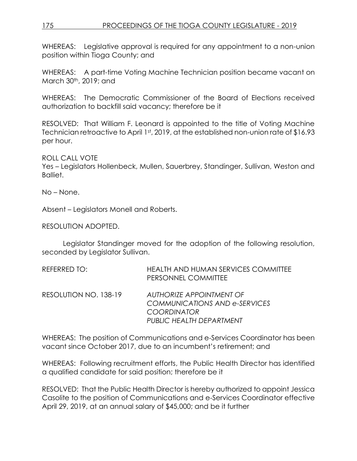# 175 PROCEEDINGS OF THE TIOGA COUNTY LEGISLATURE - 2019

WHEREAS: Legislative approval is required for any appointment to a non-union position within Tioga County; and

WHEREAS: A part-time Voting Machine Technician position became vacant on March 30th, 2019; and

WHEREAS: The Democratic Commissioner of the Board of Elections received authorization to backfill said vacancy; therefore be it

RESOLVED: That William F. Leonard is appointed to the title of Voting Machine Technician retroactive to April 1st, 2019, at the established non-union rate of \$16.93 per hour.

ROLL CALL VOTE

Yes – Legislators Hollenbeck, Mullen, Sauerbrey, Standinger, Sullivan, Weston and Balliet.

No – None.

Absent – Legislators Monell and Roberts.

RESOLUTION ADOPTED.

Legislator Standinger moved for the adoption of the following resolution, seconded by Legislator Sullivan.

| REFERRED TO:          | <b>HEALTH AND HUMAN SERVICES COMMITTEE</b><br>PERSONNEL COMMITTEE                      |
|-----------------------|----------------------------------------------------------------------------------------|
| RESOLUTION NO. 138-19 | <b>AUTHORIZE APPOINTMENT OF</b><br>COMMUNICATIONS AND e-SERVICES<br><b>COORDINATOR</b> |
|                       | PUBLIC HEALTH DEPARTMENT                                                               |

WHEREAS: The position of Communications and e-Services Coordinator has been vacant since October 2017, due to an incumbent's retirement; and

WHEREAS: Following recruitment efforts, the Public Health Director has identified a qualified candidate for said position; therefore be it

RESOLVED: That the Public Health Director is hereby authorized to appoint Jessica Casolite to the position of Communications and e-Services Coordinator effective April 29, 2019, at an annual salary of \$45,000; and be it further